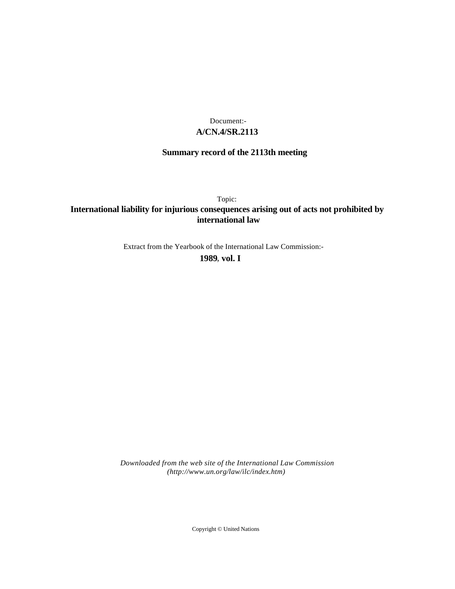# **A/CN.4/SR.2113** Document:-

# **Summary record of the 2113th meeting**

Topic:

# **International liability for injurious consequences arising out of acts not prohibited by international law**

Extract from the Yearbook of the International Law Commission:-

**1989** , **vol. I**

*Downloaded from the web site of the International Law Commission (http://www.un.org/law/ilc/index.htm)*

Copyright © United Nations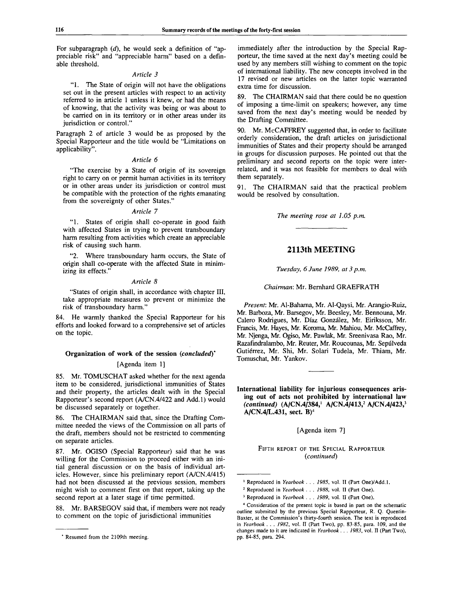For subparagraph *(d),* he would seek a definition of "appreciable risk" and "appreciable harm" based on a definable threshold.

#### *Article 3*

"1. The State of origin will not have the obligations set out in the present articles with respect to an activity referred to in article 1 unless it knew, or had the means of knowing, that the activity was being or was about to be carried on in its territory or in other areas under its jurisdiction or control."

Paragraph 2 of article 3 would be as proposed by the Special Rapporteur and the title would be "Limitations on applicability".

#### *Article 6*

"The exercise by a State of origin of its sovereign right to carry on or permit human activities in its territory or in other areas under its jurisdiction or control must be compatible with the protection of the rights emanating from the sovereignty of other States."

#### *Article 7*

"1. States of origin shall co-operate in good faith with affected States in trying to prevent transboundary harm resulting from activities which create an appreciable risk of causing such harm.

Where transboundary harm occurs, the State of origin shall co-operate with the affected State in minimizing its effects.'

#### *Article 8*

"States of origin shall, in accordance with chapter III, take appropriate measures to prevent or minimize the risk of transboundary harm."

84. He warmly thanked the Special Rapporteur for his efforts and looked forward to a comprehensive set of articles on the topic.

#### **Organization of work of the session** *(concluded)\**

#### [Agenda item 1]

85. Mr. TOMUSCHAT asked whether for the next agenda item to be considered, jurisdictional immunities of States and their property, the articles dealt with in the Special Rapporteur's second report (A/CN.4/422 and Add.l) would be discussed separately or together.

86. The CHAIRMAN said that, since the Drafting Committee needed the views of the Commission on all parts of the draft, members should not be restricted to commenting on separate articles.

87. Mr. OGISO (Special Rapporteur) said that he was willing for the Commission to proceed either with an initial general discussion or on the basis of individual articles. However, since his preliminary report (A/CN.4/415) had not been discussed at the previous session, members might wish to comment first on that report, taking up the second report at a later stage if time permitted.

88. Mr. BARSEGOV said that, if members were not ready to comment on the topic of jurisdictional immunities

immediately after the introduction by the Special Rapporteur, the time saved at the next day's meeting could be used by any members still wishing to comment on the topic of international liability. The new concepts involved in the 17 revised or new articles on the latter topic warranted extra time for discussion.

89. The CHAIRMAN said that there could be no question of imposing a time-limit on speakers; however, any time saved from the next day's meeting would be needed by the Drafting Committee.

90. Mr. McCAFFREY suggested that, in order to facilitate orderly consideration, the draft articles on jurisdictional immunities of States and their property should be arranged in groups for discussion purposes. He pointed out that the preliminary and second reports on the topic were interrelated, and it was not feasible for members to deal with them separately.

91. The CHAIRMAN said that the practical problem would be resolved by consultation.

*The meeting rose at 1.05 p.m.*

# **2113th MEETING**

#### *Tuesday, 6 June 1989, at 3 p.m.*

## *Chairman:* Mr. Bernhard GRAEFRATH

*Present:* Mr. Al-Baharna, Mr. Al-Qaysi, Mr. Arangio-Ruiz, Mr. Barboza, Mr. Barsegov, Mr. Beesley, Mr. Bennouna, Mr. Calero Rodrigues, Mr. Diaz Gonzalez, Mr. Eiriksson, Mr. Francis, Mr. Hayes, Mr. Koroma, Mr. Mahiou, Mr. McCaffrey, Mr. Njenga, Mr. Ogiso, Mr. Pawlak, Mr. Sreenivasa Rao, Mr. Razafindralambo, Mr. Reuter, Mr. Roucounas, Mr. Sepulveda Gutiérrez, Mr. Shi, Mr. Solari Tudela, Mr. Thiam, Mr. Tomuschat, Mr. Yankov.

**International liability for injurious consequences arising out of acts not prohibited by international law** *(continued)* **(A/CN.4/384,<sup>1</sup> A/CN.4/413,<sup>2</sup> A/CN.4/423,<sup>3</sup> A/CN.4/L.431, sect. B)<sup>4</sup>**

[Agenda item 7]

### FIFTH REPORT OF THE SPECIAL RAPPORTEUR *(continued)*

*<sup>&#</sup>x27;* Resumed from the 2109th meeting.

<sup>&</sup>lt;sup>1</sup> Reproduced in Yearbook . . . 1985, vol. II (Part One)/Add.1.

<sup>2</sup> Reproduced in *Yearbook . . . 1988,* vol. II (Part One).

<sup>3</sup> Reproduced in *Yearbook . . . 1989,* vol. II (Part One).

<sup>4</sup> Consideration of the present topic is based in part on the schematic outline submitted by the previous Special Rapporteur, R. Q. Quentin-Baxter, at the Commission's thirty-fourth session. The text is reproduced in *Yearbook . . . 1982,* vol. II (Part Two), pp. 83-85, para. 109, and the changes made to it are indicated in *Yearbook . . . 1983,* vol. II (Part Two), pp. 84-85, para. 294.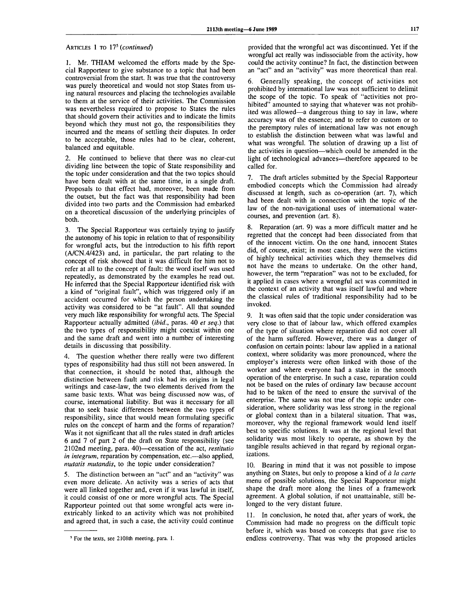ARTICLES 1 TO 17<sup>5</sup> (continue

1. Mr. THIAM welcomed the efforts made by the Special Rapporteur to give substance to a topic that had been controversial from the start. It was true that the controversy was purely theoretical and would not stop States from using natural resources and placing the technologies available to them at the service of their activities. The Commission was nevertheless required to propose to States the rules that should govern their activities and to indicate the limits beyond which they must not go, the responsibilities they incurred and the means of settling their disputes. In order to be acceptable, those rules had to be clear, coherent, balanced and equitable.

2. He continued to believe that there was no clear-cut dividing line between the topic of State responsibility and the topic under consideration and that the two topics should have been dealt with at the same time, in a single draft. Proposals to that effect had, moreover, been made from the outset, but the fact was that responsibility had been divided into two parts and the Commission had embarked on a theoretical discussion of the underlying principles of both.

3. The Special Rapporteur was certainly trying to justify the autonomy of his topic in relation to that of responsibility for wrongful acts, but the introduction to his fifth report (A/CN.4/423) and, in particular, the part relating to the concept of risk showed that it was difficult for him not to refer at all to the concept of fault: the word itself was used repeatedly, as demonstrated by the examples he read out. He inferred that the Special Rapporteur identified risk with a kind of "original fault", which was triggered only if an accident occurred for which the person undertaking the activity was considered to be "at fault". All that sounded very much like responsibility for wrongful acts. The Special Rapporteur actually admitted *(ibid.,* paras. 40 *et seq.)* that the two types of responsibility might coexist within one and the same draft and went into a number of interesting details in discussing that possibility.

4. The question whether there really were two different types of responsibility had thus still not been answered. In that connection, it should be noted that, although the distinction between fault and risk had its origins in legal writings and case-law, the two elements derived from the same basic texts. What was being discussed now was, of course, international liability. But was it necessary for all that to seek basic differences between the two types of responsibility, since that would mean formulating specific rules on the concept of harm and the forms of reparation? Was it not significant that all the rules stated in draft articles 6 and 7 of part 2 of the draft on State responsibility (see 2102nd meeting, para. 40)—cessation of the act, *restitutio in integrum,* reparation by compensation, etc.—also applied, *mutatis mutandis,* to the topic under consideration?

5. The distinction between an "act" and an "activity" was even more delicate. An activity was a series of acts that were all linked together and, even if it was lawful in itself, it could consist of one or more wrongful acts. The Special Rapporteur pointed out that some wrongful acts were inextricably linked to an activity which was not prohibited and agreed that, in such a case, the activity could continue

provided that the wrongful act was discontinued. Yet if the wrongful act really was indissociable from the activity, how could the activity continue? In fact, the distinction between an "act" and an "activity" was more theoretical than real.

6. Generally speaking, the concept of activities not prohibited by international law was not sufficient to delimit the scope of the topic. To speak of "activities not prohibited" amounted to saying that whatever was not prohibited was allowed—a dangerous thing to say in law, where accuracy was of the essence; and to refer to custom or to the peremptory rules of international law was not enough to establish the distinction between what was lawful and what was wrongful. The solution of drawing up a list of the activities in question—which could be amended in the light of technological advances—therefore appeared to be called for.

7. The draft articles submitted by the Special Rapporteur embodied concepts which the Commission had already discussed at length, such as co-operation (art. 7), which had been dealt with in connection with the topic of the law of the non-navigational uses of international watercourses, and prevention (art. 8).

8. Reparation (art. 9) was a more difficult matter and he regretted that the concept had been dissociated from that of the innocent victim. On the one hand, innocent States did, of course, exist; in most cases, they were the victims of highly technical activities which they themselves did not have the means to undertake. On the other hand, however, the term "reparation" was not to be excluded, for it applied in cases where a wrongful act was committed in the context of an activity that was itself lawful and where the classical rules of traditional responsibility had to be invoked.

9. It was often said that the topic under consideration was very close to that of labour law, which offered examples of the type of situation where reparation did not cover all of the harm suffered. However, there was a danger of confusion on certain points: labour law applied in a national context, where solidarity was more pronounced, where the employer's interests were often linked with those of the worker and where everyone had a stake in the smooth operation of the enterprise. In such a case, reparation could not be based on the rules of ordinary law because account had to be taken of the need to ensure the survival of the enterprise. The same was not true of the topic under consideration, where solidarity was less strong in the regional or global context than in a bilateral situation. That was, moreover, why the regional framework would lend itself best to specific solutions. It was at the regional level that solidarity was most likely to operate, as shown by the tangible results achieved in that regard by regional organizations.

10. Bearing in mind that it was not possible to impose anything on States, but only to propose a kind of *a la carte* menu of possible solutions, the Special Rapporteur might shape the draft more along the lines of a framework agreement. A global solution, if not unattainable, still belonged to the very distant future.

11. In conclusion, he noted that, after years of work, the Commission had made no progress on the difficult topic before it, which was based on concepts that gave rise to endless controversy. That was why the proposed articles

<sup>&</sup>lt;sup>5</sup> For the texts, see 2108th meeting, para. 1.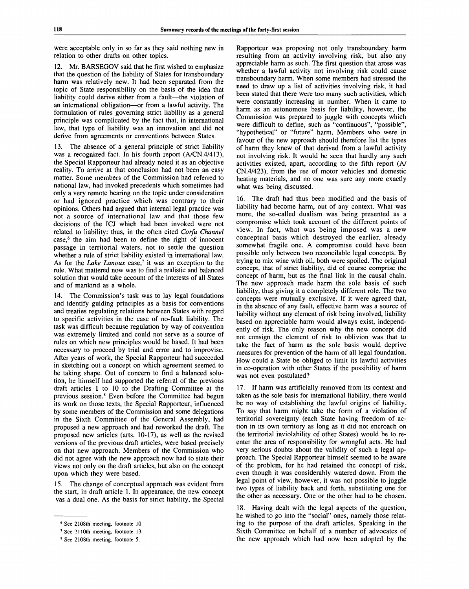were acceptable only in so far as they said nothing new in relation to other drafts on other topics.

12. Mr. BARSEGOV said that he first wished to emphasize that the question of the liability of States for transboundary harm was relatively new. It had been separated from the topic of State responsibility on the basis of the idea that liability could derive either from a fault—the violation of an international obligation—or from a lawful activity. The formulation of rules governing strict liability as a general principle was complicated by the fact that, in international law, that type of liability was an innovation and did not derive from agreements or conventions between States.

13. The absence of a general principle of strict liability was a recognized fact. In his fourth report (A/CN.4/413), the Special Rapporteur had already noted it as an objective reality. To arrive at that conclusion had not been an easy matter. Some members of the Commission had referred to national law, had invoked precedents which sometimes had only a very remote bearing on the topic under consideration or had ignored practice which was contrary to their opinions. Others had argued that internal legal practice was not a source of international law and that those few decisions of the ICJ which had been invoked were not related to liability: thus, in the often cited *Corfu Channel*  $\cos 6$  the aim had been to define the right of innocent passage in territorial waters, not to settle the question whether a rule of strict liability existed in international law. As for the *Lake Lanoux* case,<sup>7</sup> it was an exception to the rule. What mattered now was to find a realistic and balanced solution that would take account of the interests of all States and of mankind as a whole.

14. The Commission's task was to lay legal foundations and identify guiding principles as a basis for conventions and treaties regulating relations between States with regard to specific activities in the case of no-fault liability. The task was difficult because regulation by way of convention was extremely limited and could not serve as a source of rules on which new principles would be based. It had been necessary to proceed by trial and error and to improvise. After years of work, the Special Rapporteur had succeeded in sketching out a concept on which agreement seemed to be taking shape. Out of concern to find a balanced solution, he himself had supported the referral of the previous draft articles 1 to 10 to the Drafting Committee at the previous session.<sup>8</sup> Even before the Committee had begun its work on those texts, the Special Rapporteur, influenced by some members of the Commission and some delegations in the Sixth Committee of the General Assembly, had proposed a new approach and had reworked the draft. The proposed new articles (arts. 10-17), as well as the revised versions of the previous draft articles, were based precisely on that new approach. Members of the Commission who did not agree with the new approach now had to state their views not only on the draft articles, but also on the concept upon which they were based.

15. The change of conceptual approach was evident from the start, in draft article 1. In appearance, the new concept vas a dual one. As the basis for strict liability, the Special

Rapporteur was proposing not only transboundary harm resulting from an activity involving risk, but also any appreciable harm as such. The first question that arose was whether a lawful activity not involving risk could cause transboundary harm. When some members had stressed the need to draw up a list of activities involving risk, it had been stated that there were too many such activities, which were constantly increasing in number. When it came to harm as an autonomous basis for liability, however, the Commission was prepared to juggle with concepts which were difficult to define, such as "continuous", "possible", "hypothetical" or "future" harm. Members who were in favour of the new approach should therefore list the types of harm they knew of that derived from a lawful activity not involving risk. It would be seen that hardly any such activities existed, apart, according to the fifth report (A/ CN.4/423), from the use of motor vehicles and domestic heating materials, and no one was sure any more exactly what was being discussed.

16. The draft had thus been modified and the basis of liability had become harm, out of any context. What was more, the so-called dualism was being presented as a compromise which took account of the different points of view. In fact, what was being imposed was a new conceptual basis which destroyed the earlier, already somewhat fragile one. A compromise could have been possible only between two reconcilable legal concepts. By trying to mix wine with oil, both were spoiled. The original concept, that of strict liability, did of course comprise the concept of harm, but as the final link in the causal chain. The new approach made harm the sole basis of such liability, thus giving it a completely different role. The two concepts were mutually exclusive. If it were agreed that, in the absence of any fault, effective harm was a source of liability without any element of risk being involved, liability based on appreciable harm would always exist, independently of risk. The only reason why the new concept did not consign the element of risk to oblivion was that to take the fact of harm as the sole basis would deprive measures for prevention of the harm of all legal foundation. How could a State be obliged to limit its lawful activities in co-operation with other States if the possibility of harm was not even postulated?

17. If harm was artificially removed from its context and taken as the sole basis for international liability, there would be no way of establishing the lawful origins of liability. To say that harm might take the form of a violation of territorial sovereignty (each State having freedom of action in its own territory as long as it did not encroach on the territorial inviolability of other States) would be to reenter the area of responsibility for wrongful acts. He had very serious doubts about the validity of such a legal approach. The Special Rapporteur himself seemed to be aware of the problem, for he had retained the concept of risk, even though it was considerably watered down. From the legal point of view, however, it was not possible to juggle two types of liability back and forth, substituting one for the other as necessary. One or the other had to be chosen.

18. Having dealt with the legal aspects of the question, he wished to go into the "social" ones, namely those relating to the purpose of the draft articles. Speaking in the Sixth Committee on behalf of a number of advocates of the new approach which had now been adopted by the

<sup>6</sup> See 2108th meeting, footnote 10.

<sup>&</sup>lt;sup>7</sup> See 2110th meeting, footnote 13.

<sup>&</sup>lt;sup>8</sup> See 2108th meeting, footnote 5.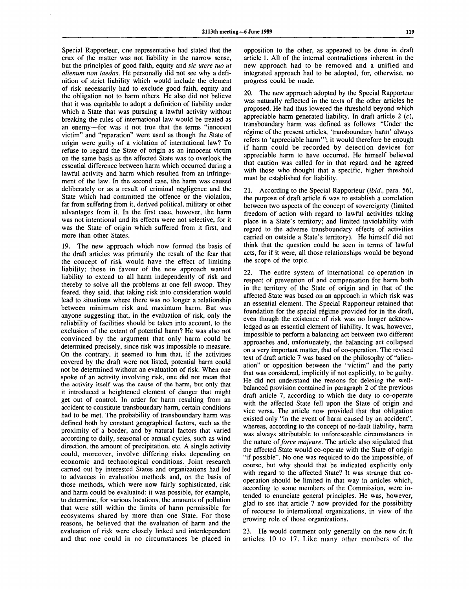Special Rapporteur, one representative had stated that the crux of the matter was not liability in the narrow sense, but the principles of good faith, equity and *sic utere tuo ut alienum non laedas.* He personally did not see why a definition of strict liability which would include the element of risk necessarily had to exclude good faith, equity and the obligation not to harm others. He also did not believe that it was equitable to adopt a definition of liability under which a State that was pursuing a lawful activity without breaking the rules of international law would be treated as an enemy—for was it not true that the terms "innocent victim" and "reparation" were used as though the State of origin were guilty of a violation of international law? To refuse to regard the State of origin as an innocent victim on the same basis as the affected State was to overlook the essential difference between harm which occurred during a lawful activity and harm which resulted from an infringement of the law. In the second case, the harm was caused deliberately or as a result of criminal negligence and the State which had committed the offence or the violation, far from suffering from it, derived political, military or other advantages from it. In the first case, however, the harm was not intentional and its effects were not selective, for it was the State of origin which suffered from it first, and more than other States.

19. The new approach which now formed the basis of the draft articles was primarily the result of the fear that the concept of risk would have the effect of limiting liability: those in favour of the new approach wanted liability to extend to all harm independently of risk and thereby to solve all the problems at one fell swoop. They feared, they said, that taking risk into consideration would lead to situations where there was no longer a relationship between minimum risk and maximum harm. But was anyone suggesting that, in the evaluation of risk, only the reliability of facilities should be taken into account, to the exclusion of the extent of potential harm? He was also not convinced by the argument that only harm could be determined precisely, since risk was impossible to measure. On the contrary, it seemed to him that, if the activities covered by the draft were not listed, potential harm could not be determined without an evaluation of risk. When one spoke of an activity involving risk, one did not mean that the activity itself was the cause of the harm, but only that it introduced a heightened element of danger that might get out of control. In order for harm resulting from an accident to constitute transboundary harm, certain conditions had to be met. The probability of transboundary harm was defined both by constant geographical factors, such as the proximity of a border, and by natural factors that varied according to daily, seasonal or annual cycles, such as wind direction, the amount of precipitation, etc. A single activity could, moreover, involve differing risks depending on economic and technological conditions. Joint research carried out by interested States and organizations had led to advances in evaluation methods and, on the basis of those methods, which were now fairly sophisticated, risk and harm could be evaluated: it was possible, for example, to determine, for various locations, the amounts of pollution that were still within the limits of harm permissible for ecosystems shared by more than one State. For those reasons, he believed that the evaluation of harm and the evaluation of risk were closely linked and interdependent and that one could in no circumstances be placed in

opposition to the other, as appeared to be done in draft article 1. All of the internal contradictions inherent in the new approach had to be removed and a unified and integrated approach had to be adopted, for, otherwise, no progress could be made.

20. The new approach adopted by the Special Rapporteur was naturally reflected in the texts of the other articles he proposed. He had thus lowered the threshold beyond which appreciable harm generated liability. In draft article  $2(c)$ , transboundary harm was defined as follows: "Under the régime of the present articles, 'transboundary harm' always refers to 'appreciable harm'"; it would therefore be enough if harm could be recorded by detection devices for appreciable harm to have occurred. He himself believed that caution was called for in that regard and he agreed with those who thought that a specific, higher threshold must be established for liability.

21. According to the Special Rapporteur *(ibid.,* para. 56), the purpose of draft article 6 was to establish a correlation between two aspects of the concept of sovereignty (limited freedom of action with regard to lawful activities taking place in a State's territory; and limited inviolability with regard to the adverse transboundary effects of activities carried on outside a State's territory). He himself did not think that the question could be seen in terms of lawful acts, for if it were, all those relationships would be beyond the scope of the topic.

22. The entire system of international co-operation in respect of prevention of and compensation for harm both in the territory of the State of origin and in that of the affected State was based on an approach in which risk was an essential element. The Special Rapporteur retained that foundation for the special regime provided for in the draft, even though the existence of risk was no longer acknowledged as an essential element of liability. It was, however, impossible to perform a balancing act between two different approaches and, unfortunately, the balancing act collapsed on a very important matter, that of co-operation. The revised text of draft article 7 was based on the philosophy of "alienation" or opposition between the "victim" and the party that was considered, implicitly if not explicitly, to be guilty. He did not understand the reasons for deleting the wellbalanced provision contained in paragraph 2 of the previous draft article 7, according to which the duty to co-operate with the affected State fell upon the State of origin and vice versa. The article now provided that that obligation existed only "in the event of harm caused by an accident", whereas, according to the concept of no-fault liability, harm was always attributable to unforeseeable circumstances in the nature of *force majeure.* The article also stipulated that the affected State would co-operate with the State of origin "if possible". No one was required to do the impossible, of course, but why should that be indicated explicitly only with regard to the affected State? It was strange that cooperation should be limited in that way in articles which, according to some members of the Commission, were intended to enunciate general principles. He was, however, glad to see that article 7 now provided for the possibility of recourse to international organizations, in view of the growing role of those organizations.

23. He would comment only generally on the new draft articles 10 to 17. Like many other members of the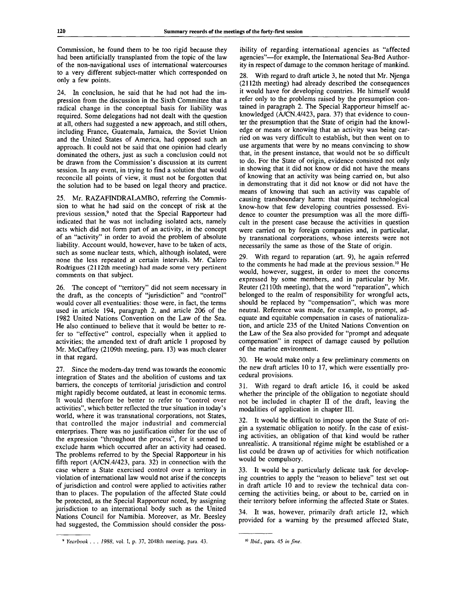Commission, he found them to be too rigid because they had been artificially transplanted from the topic of the law of the non-navigational uses of international watercourses to a very different subject-matter which corresponded on only a few points.

24. In conclusion, he said that he had not had the impression from the discussion in the Sixth Committee that a radical change in the conceptual basis for liability was required. Some delegations had not dealt with the question at all, others had suggested a new approach, and still others, including France, Guatemala, Jamaica, the Soviet Union and the United States of America, had opposed such an approach. It could not be said that one opinion had clearly dominated the others, just as such a conclusion could not be drawn from the Commission's discussion at its current session. In any event, in trying to find a solution that would reconcile all points of view, it must not be forgotten that the solution had to be based on legal theory and practice.

25. Mr. RAZAFINDRALAMBO, referring the Commission to what he had said on the concept of risk at the previous session,<sup>9</sup> noted that the Special Rapporteur had indicated that he was not including isolated acts, namely acts which did not form part of an activity, in the concept of an "activity" in order to avoid the problem of absolute liability. Account would, however, have to be taken of acts, such as some nuclear tests, which, although isolated, were none the less repeated at certain intervals. Mr. Calero Rodrigues (2112th meeting) had made some very pertinent comments on that subject.

26. The concept of "territory" did not seem necessary in the draft, as the concepts of "jurisdiction" and "control" would cover all eventualities: those were, in fact, the terms used in article 194, paragraph 2, and article 206 of the 1982 United Nations Convention on the Law of the Sea. He also continued to believe that it would be better to refer to "effective" control, especially when it applied to activities; the amended text of draft article 1 proposed by Mr. McCaffrey (2109th meeting, para. 13) was much clearer in that regard.

27. Since the modern-day trend was towards the economic integration of States and the abolition of customs and tax barriers, the concepts of territorial jurisdiction and control might rapidly become outdated, at least in economic terms. It would therefore be better to refer to "control over activities", which better reflected the true situation in today's world, where it was transnational corporations, not States, that controlled the major industrial and commercial enterprises. There was no justification either for the use of the expression "throughout the process", for it seemed to exclude harm which occurred after an activity had ceased. The problems referred to by the Special Rapporteur in his fifth report (A/CN.4/423, para. 32) in connection with the case where a State exercised control over a territory in violation of international law would not arise if the concepts of jurisdiction and control were applied to activities rather than to places. The population of the affected State could be protected, as the Special Rapporteur noted, by assigning jurisdiction to an international body such as the United Nations Council for Namibia. Moreover, as Mr. Beesley had suggested, the Commission should consider the possibility of regarding international agencies as "affected agencies"—for example, the International Sea-Bed Authority in respect of damage to the common heritage of mankind.

28. With regard to draft article 3, he noted that Mr. Njenga (2112th meeting) had already described the consequences it would have for developing countries. He himself would refer only to the problems raised by the presumption contained in paragraph 2. The Special Rapporteur himself acknowledged (A/CN.4/423, para. 37) that evidence to counter the presumption that the State of origin had the knowledge or means or knowing that an activity was being carried on was very difficult to establish, but then went on to use arguments that were by no means convincing to show that, in the present instance, that would not be so difficult to do. For the State of origin, evidence consisted not only in showing that it did not know or did not have the means of knowing that an activity was being carried on, but also in demonstrating that it did not know or did not have the means of knowing that such an activity was capable of causing transboundary harm: that required technological know-how that few developing countries possessed. Evidence to counter the presumption was all the more difficult in the present case because the activities in question were carried on by foreign companies and, in particular, by transnational corporations, whose interests were not necessarily the same as those of the State of origin.

29. With regard to reparation (art. 9), he again referred to the comments he had made at the previous session.<sup>10</sup> He would, however, suggest, in order to meet the concerns expressed by some members, and in particular by Mr. Reuter (2110th meeting), that the word "reparation", which belonged to the realm of responsibility for wrongful acts, should be replaced by "compensation", which was more neutral. Reference was made, for example, to prompt, adequate and equitable compensation in cases of nationalization, and article 235 of the United Nations Convention on the Law of the Sea also provided for "prompt and adequate compensation" in respect of damage caused by pollution of the marine environment.

30. He would make only a few preliminary comments on the new draft articles 10 to 17, which were essentially procedural provisions.

31. With regard to draft article 16, it could be asked whether the principle of the obligation to negotiate should not be included in chapter II of the draft, leaving the modalities of application in chapter III.

32. It would be difficult to impose upon the State of origin a systematic obligation to notify. In the case of existing activities, an obligation of that kind would be rather unrealistic. A transitional régime might be established or a list could be drawn up of activities for which notification would be compulsory.

33. It would be a particularly delicate task for developing countries to apply the "reason to believe" test set out in draft article 10 and to review the technical data concerning the activities being, or about to be, carried on in their territory before informing the affected State or States.

34. It was, however, primarily draft article 12, which provided for a warning by the presumed affected State,

*<sup>9</sup> Yearbook . . . 1988,* vol. I, p. 37, 2048th meeting, para. 43. *Ibid.,* para. 45 *in fine.*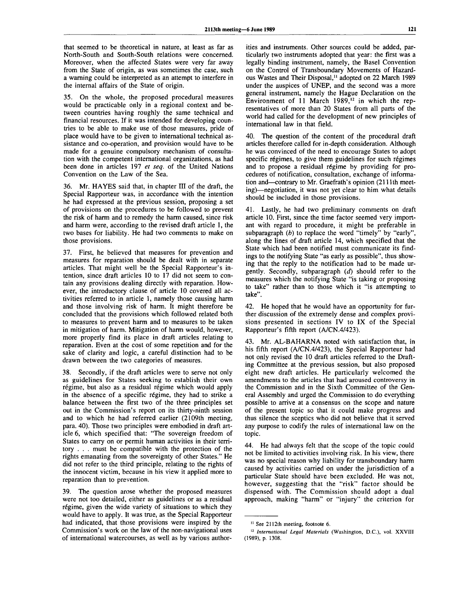that seemed to be theoretical in nature, at least as far as North-South and South-South relations were concerned. Moreover, when the affected States were very far away from the State of origin, as was sometimes the case, such a warning could be interpreted as an attempt to interfere in the internal affairs of the State of origin.

35. On the whole, the proposed procedural measures would be practicable only in a regional context and between countries having roughly the same technical and financial resources. If it was intended for developing countries to be able to make use of those measures, pride of place would have to be given to international technical assistance and co-operation, and provision would have to be made for a genuine compulsory mechanism of consultation with the competent international organizations, as had been done in articles 197 *et seq.* of the United Nations Convention on the Law of the Sea.

36. Mr. HAYES said that, in chapter III of the draft, the Special Rapporteur was, in accordance with the intention he had expressed at the previous session, proposing a set of provisions on the procedures to be followed to prevent the risk of harm and to remedy the harm caused, since risk and harm were, according to the revised draft article 1, the two bases for liability. He had two comments to make on those provisions.

37. First, he believed that measures for prevention and measures for reparation should be dealt with in separate articles. That might well be the Special Rapporteur's intention, since draft articles 10 to 17 did not seem to contain any provisions dealing directly with reparation. However, the introductory clause of article 10 covered all activities referred to in article 1, namely those causing harm and those involving risk of harm. It might therefore be concluded that the provisions which followed related both to measures to prevent harm and to measures to be taken in mitigation of harm. Mitigation of harm would, however, more properly find its place in draft articles relating to reparation. Even at the cost of some repetition and for the sake of clarity and logic, a careful distinction had to be drawn between the two categories of measures.

38. Secondly, if the draft articles were to serve not only as guidelines for States seeking to establish their own régime, but also as a residual régime which would apply in the absence of a specific regime, they had to strike a balance between the first two of the three principles set out in the Commission's report on its thirty-ninth session and to which he had referred earlier (2109th meeting, para. 40). Those two principles were embodied in draft article 6, which specified that: "The sovereign freedom of States to carry on or permit human activities in their territory . . . must be compatible with the protection of the rights emanating from the sovereignty of other States." He did not refer to the third principle, relating to the rights of the innocent victim, because in his view it applied more to reparation than to prevention.

39. The question arose whether the proposed measures were not too detailed, either as guidelines or as a residual régime, given the wide variety of situations to which they would have to apply. It was true, as the Special Rapporteur had indicated, that those provisions were inspired by the Commission's work on the law of the non-navigational uses of international watercourses, as well as by various author-

ities and instruments. Other sources could be added, particularly two instruments adopted that year: the first was a legally binding instrument, namely, the Basel Convention on the Control of Transboundary Movements of Hazardous Wastes and Their Disposal,<sup>11</sup> adopted on 22 March 1989 under the auspices of UNEP, and the second was a more general instrument, namely the Hague Declaration on the Environment of 11 March 1989,<sup>12</sup> in which the representatives of more than 20 States from all parts of the world had called for the development of new principles of international law in that field.

40. The question of the content of the procedural draft articles therefore called for in-depth consideration. Although he was convinced of the need to encourage States to adopt specific régimes, to give them guidelines for such régimes and to propose a residual régime by providing for procedures of notification, consultation, exchange of information and—contrary to Mr. Graefrath's opinion (211 lth meeting)—negotiation, it was not yet clear to him what details should be included in those provisions.

41. Lastly, he had two preliminary comments on draft article 10. First, since the time factor seemed very important with regard to procedure, it might be preferable in subparagraph *(b)* to replace the word "timely" by "early", along the lines of draft article 14, which specified that the State which had been notified must communicate its findings to the notifying State "as early as possible", thus showing that the reply to the notification had to be made urgently. Secondly, subparagraph *(d)* should refer to the measures which the notifying State "is taking or proposing to take" rather than to those which it "is attempting to take".

42. He hoped that he would have an opportunity for further discussion of the extremely dense and complex provisions presented in sections IV to IX of the Special Rapporteur's fifth report (A/CN.4/423).

43. Mr. AL-BAHARNA noted with satisfaction that, in his fifth report (A/CN.4/423), the Special Rapporteur had not only revised the 10 draft articles referred to the Drafting Committee at the previous session, but also proposed eight new draft articles. He particularly welcomed the amendments to the articles that had aroused controversy in the Commission and in the Sixth Committee of the General Assembly and urged the Commission to do everything possible to arrive at a consensus on the scope and nature of the present topic so that it could make progress and thus silence the sceptics who did not believe that it served any purpose to codify the rules of international law on the topic.

44. He had always felt that the scope of the topic could not be limited to activities involving risk. In his view, there was no special reason why liability for transboundary harm caused by activities carried on under the jurisdiction of a particular State should have been excluded. He was not, however, suggesting that the "risk" factor should be dispensed with. The Commission should adopt a dual approach, making "harm" or "injury" the criterion for

<sup>&</sup>lt;sup>11</sup> See 2112th meeting, footnote 6.

<sup>12</sup>  *International Legal Materials* (Washington, D.C.), vol. XXVIII (1989), p. 1308.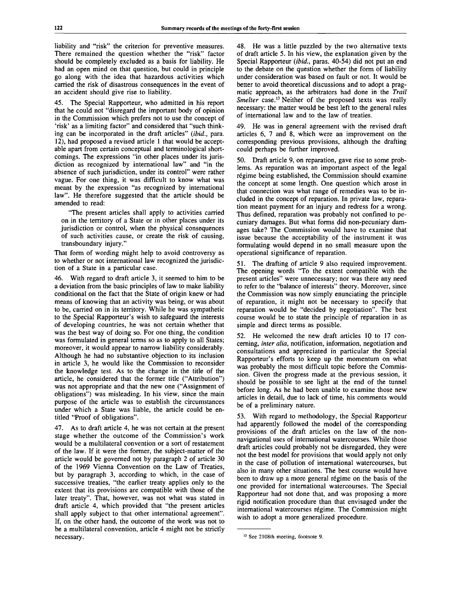liability and "risk" the criterion for preventive measures. There remained the question whether the "risk" factor should be completely excluded as a basis for liability. He had an open mind on that question, but could in principle go along with the idea that hazardous activities which carried the risk of disastrous consequences in the event of an accident should give rise to liability.

45. The Special Rapporteur, who admitted in his report that he could not "disregard the important body of opinion in the Commission which prefers not to use the concept of 'risk' as a limiting factor" and considered that "such thinking can be incorporated in the draft articles" *(ibid.,* para. 12), had proposed a revised article 1 that would be acceptable apart from certain conceptual and terminological shortcomings. The expressions "in other places under its jurisdiction as recognized by international law" and "in the absence of such jurisdiction, under its control" were rather vague. For one thing, it was difficult to know what was meant by the expression "as recognized by international law". He therefore suggested that the article should be amended to read:

"The present articles shall apply to activities carried on in the territory of a State or in other places under its jurisdiction or control, when the physical consequences of such activities cause, or create the risk of causing, transboundary injury."

That form of wording might help to avoid controversy as to whether or not international law recognized the jurisdiction of a State in a particular case.

46. With regard to draft article 3, it seemed to him to be a deviation from the basic principles of law to make liability conditional on the fact that the State of origin knew or had means of knowing that an activity was being, or was about to be, carried on in its territory. While he was sympathetic to the Special Rapporteur's wish to safeguard the interests of developing countries, he was not certain whether that was the best way of doing so. For one thing, the condition was formulated in general terms so as to apply to all States; moreover, it would appear to narrow liability considerably. Although he had no substantive objection to its inclusion in article 3, he would like the Commission to reconsider the knowledge test. As to the change in the title of the article, he considered that the former title ("Attribution") was not appropriate and that the new one ("Assignment of obligations") was misleading. In his view, since the main purpose of the article was to establish the circumstances under which a State was liable, the article could be entitled "Proof of obligations".

47. As to draft article 4, he was not certain at the present stage whether the outcome of the Commission's work would be a multilateral convention or a sort of restatement of the law. If it were the former, the subject-matter of the article would be governed not by paragraph 2 of article 30 of the 1969 Vienna Convention on the Law of Treaties, but by paragraph 3, according to which, in the case of successive treaties, "the earlier treaty applies only to the extent that its provisions are compatible with those of the later treaty". That, however, was not what was stated in draft article 4, which provided that "the present articles shall apply subject to that other international agreement". If, on the other hand, the outcome of the work was not to be a multilateral convention, article 4 might not be strictly necessary.

48. He was a little puzzled by the two alternative texts of draft article 5. In his view, the explanation given by the Special Rapporteur *(ibid.,* paras. 40-54) did not put an end to the debate on the question whether the form of liability under consideration was based on fault or not. It would be better to avoid theoretical discussions and to adopt a pragmatic approach, as the arbitrators had done in the *Trail* Smelter case.<sup>13</sup> Neither of the proposed texts was really necessary: the matter would be best left to the general rules of international law and to the law of treaties.

49. He was in general agreement with the revised draft articles 6, 7 and 8, which were an improvement on the corresponding previous provisions, although the drafting could perhaps be further improved.

50. Draft article 9, on reparation, gave rise to some problems. As reparation was an important aspect of the legal régime being established, the Commission should examine the concept at some length. One question which arose in that connection was what range of remedies was to be included in the concept of reparation. In private law, reparation meant payment for an injury and redress for a wrong. Thus defined, reparation was probably not confined to pecuniary damages. But what forms did non-pecuniary damages take? The Commission would have to examine that issue because the acceptability of the instrument it was formulating would depend in no small measure upon the operational significance of reparation.

51. The drafting of article 9 also required improvement. The opening words "To the extent compatible with the present articles" were unnecessary; nor was there any need to refer to the "balance of interests" theory. Moreover, since the Commission was now simply enunciating the principle of reparation, it might not be necessary to specify that reparation would be "decided by negotiation". The best course would be to state the principle of reparation in as simple and direct terms as possible.

52. He welcomed the new draft articles 10 to 17 concerning, *inter alia,* notification, information, negotiation and consultations and appreciated in particular the Special Rapporteur's efforts to keep up the momentum on what was probably the most difficult topic before the Commission. Given the progress made at the previous session, it should be possible to see light at the end of the tunnel before long. As he had been unable to examine those new articles in detail, due to lack of time, his comments would be of a preliminary nature.

53. With regard to methodology, the Special Rapporteur had apparently followed the model of the corresponding provisions of the draft articles on the law of the nonnavigational uses of international watercourses. While those draft articles could probably not be disregarded, they were not the best model for provisions that would apply not only in the case of pollution of international watercourses, but also in many other situations. The best course would have been to draw up a more general régime on the basis of the one provided for international watercourses. The Special Rapporteur had not done that, and was proposing a more rigid notification procedure than that envisaged under the international watercourses regime. The Commission might wish to adopt a more generalized procedure.

<sup>13</sup> See 2108th meeting, footnote 9.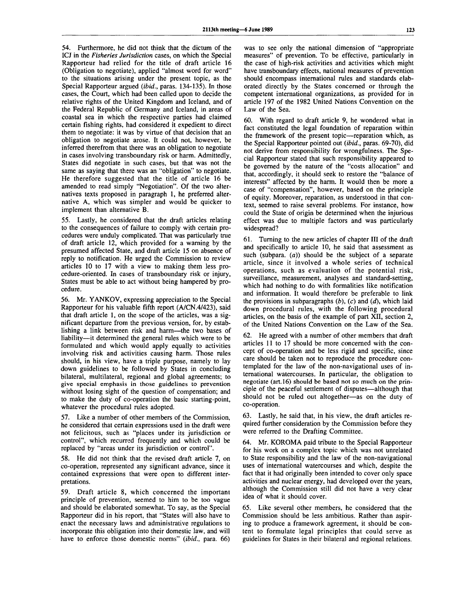54. Furthermore, he did not think that the dictum of the ICJ in the *Fisheries Jurisdiction* cases, on which the Special Rapporteur had relied for the title of draft article 16 (Obligation to negotiate), applied "almost word for word" to the situations arising under the present topic, as the Special Rapporteur argued *(ibid.,* paras. 134-135). In those cases, the Court, which had been called upon to decide the relative rights of the United Kingdom and Iceland, and of the Federal Republic of Germany and Iceland, in areas of coastal sea in which the respective parties had claimed certain fishing rights, had considered it expedient to direct them to negotiate: it was by virtue of that decision that an obligation to negotiate arose. It could not, however, be inferred therefrom that there was an obligation to negotiate in cases involving transboundary risk or harm. Admittedly, States did negotiate in such cases, but that was not the same as saying that there was an "obligation" to negotiate. He therefore suggested that the title of article 16 be amended to read simply "Negotiation". Of the two alternatives texts proposed in paragraph 1, he preferred alternative A, which was simpler and would be quicker to implement than alternative B.

55. Lastly, he considered that the draft articles relating to the consequences of failure to comply with certain procedures were unduly complicated. That was particularly true of draft article 12, which provided for a warning by the presumed affected State, and draft article 15 on absence of reply to notification. He urged the Commission to review articles 10 to 17 with a view to making them less procedure-oriented. In cases of transboundary risk or injury, States must be able to act without being hampered by procedure.

56. Mr. YANKOV, expressing appreciation to the Special Rapporteur for his valuable fifth report (A/CN.4/423), said that draft article 1, on the scope of the articles, was a significant departure from the previous version, for, by establishing a link between risk and harm—the two bases of liability—it determined the general rules which were to be formulated and which would apply equally to activities involving risk and activities causing harm. Those rules should, in his view, have a triple purpose, namely to lay down guidelines to be followed by States in concluding bilateral, multilateral, regional and global agreements; to give special emphasis in those guidelines to prevention without losing sight of the question of compensation; and to make the duty of co-operation the basic starting-point, whatever the procedural rules adopted.

57. Like a number of other members of the Commission, he considered that certain expressions used in the draft were not felicitous, such as "places under its jurisdiction or control", which recurred frequently and which could be replaced by "areas under its jurisdiction or control".

58. He did not think that the revised draft article 7, on co-operation, represented any significant advance, since it contained expressions that were open to different interpretations.

59. Draft article 8, which concerned the important principle of prevention, seemed to him to be too vague and should be elaborated somewhat. To say, as the Special Rapporteur did in his report, that "States will also have to enact the necessary laws and administrative regulations to incorporate this obligation into their domestic law, and will have to enforce those domestic norms" *(ibid.,* para. 66) was to see only the national dimension of "appropriate measures" of prevention. To be effective, particularly in the case of high-risk activities and activities which might have transboundary effects, national measures of prevention should encompass international rules and standards elaborated directly by the States concerned or through the competent international organizations, as provided for in article 197 of the 1982 United Nations Convention on the Law of the Sea.

60. With regard to draft article 9, he wondered what in fact constituted the legal foundation of reparation within the framework of the present topic—reparation which, as the Special Rapporteur pointed out *(ibid.,* paras. 69-70), did not derive from responsibility for wrongfulness. The Special Rapporteur stated that such responsibility appeared to be governed by the nature of the "costs allocation" and that, accordingly, it should seek to restore the "balance of interests" affected by the harm. It would then be more a case of "compensation", however, based on the principle of equity. Moreover, reparation, as understood in that context, seemed to raise several problems. For instance, how could the State of origin be determined when the injurious effect was due to multiple factors and was particularly widespread?

61. Turning to the new articles of chapter III of the draft and specifically to article 10, he said that assessment as such (subpara. *(a))* should be the subject of a separate article, since it involved a whole series of technical operations, such as evaluation of the potential risk, surveillance, measurement, analyses and standard-setting, which had nothing to do with formalities like notification and information. It would therefore be preferable to link the provisions in subparagraphs *(b), (c)* and *(d),* which laid down procedural rules, with the following procedural articles, on the basis of the example of part XII, section 2, of the United Nations Convention on the Law of the Sea.

62. He agreed with a number of other members that draft articles 11 to 17 should be more concerned with the concept of co-operation and be less rigid and specific, since care should be taken not to reproduce the procedure contemplated for the law of the non-navigational uses of international watercourses. In particular, the obligation to negotiate (art. 16) should be based not so much on the principle of the peaceful settlement of disputes—although that should not be ruled out altogether—as on the duty of co-operation.

63. Lastly, he said that, in his view, the draft articles required further consideration by the Commission before they were referred to the Drafting Committee.

64. Mr. KOROMA paid tribute to the Special Rapporteur for his work on a complex topic which was not unrelated to State responsibility and the law of the non-navigational uses of international watercourses and which, despite the fact that it had originally been intended to cover only space activities and nuclear energy, had developed over the years, although the Commission still did not have a very clear idea of what it should cover.

65. Like several other members, he considered that the Commission should be less ambitious. Rather than aspiring to produce a framework agreement, it should be content to formulate legal principles that could serve as guidelines for States in their bilateral and regional relations.